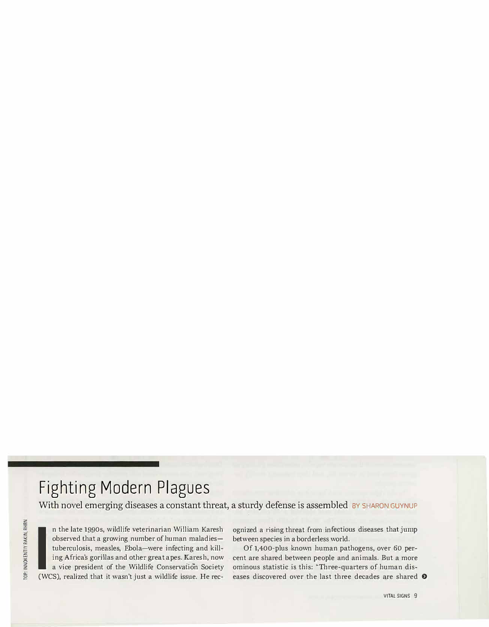## **Fighting Modern Plagues**

With novel emerging diseases a constant threat, a sturdy defense is assembled BY SHARON GUYNUP

TOP: INNOKENTIY RAKIN, RHRN

n the late 1990s, wildlife veterinarian William Karesh observed that a growing number of human maladies—tuberculosis, measles, Ebola—were infecting and killing Africa's gorillas and other great apes. Karesh, now a vice pre observed that a growing number of human maladiestuberculosis, measles, Ebola-were infecting and killing Af<sup>r</sup> ica's gorillas and other great apes. Karesh, now a vice president of the Wildlife Conservation Society (WCS), realized that it wasn't just a wildlife issue. He rec-

ognized a rising threat from in<sup>f</sup>ectious diseases that jump between species in a borderless world.

Of 1,400-plus known human pathogens, over *60* percent are shared between people and animals. But a more ominous statistic is this: "Three-quarters of human diseases discovered over the last three decades are shared  $\bullet$